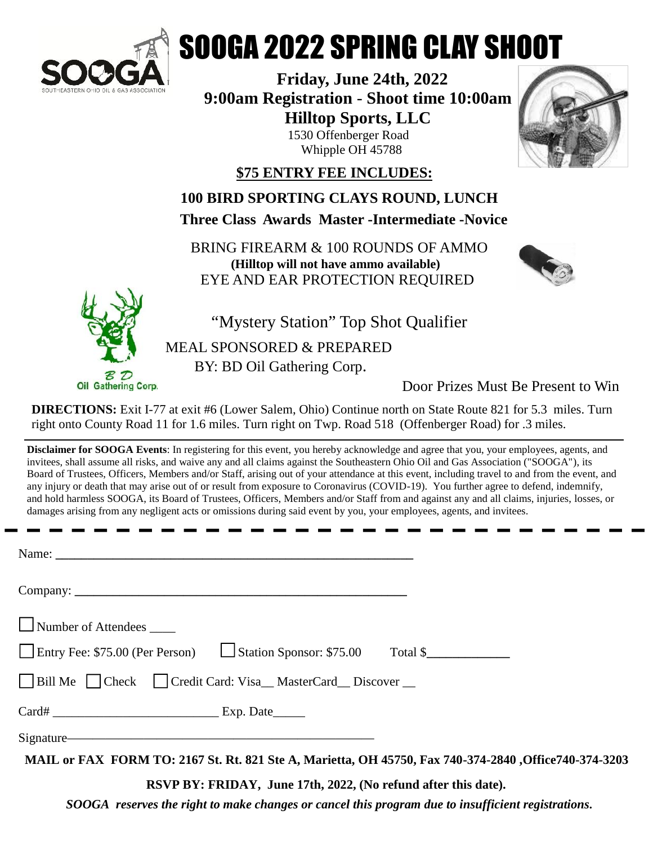

## SOOGA 2022 SPRING CLAY SHOOT

**Friday, June 24th, 2022 9:00am Registration** - **Shoot time 10:00am Hilltop Sports, LLC** 1530 Offenberger Road Whipple OH 45788



**\$75 ENTRY FEE INCLUDES:**

**100 BIRD SPORTING CLAYS ROUND, LUNCH**

**Three Class Awards Master -Intermediate -Novice**

BRING FIREARM & 100 ROUNDS OF AMMO **(Hilltop will not have ammo available)** EYE AND EAR PROTECTION REQUIRED





"Mystery Station" Top Shot Qualifier

MEAL SPONSORED & PREPARED BY: BD Oil Gathering Corp.

Door Prizes Must Be Present to Win

**DIRECTIONS:** Exit I-77 at exit #6 (Lower Salem, Ohio) Continue north on State Route 821 for 5.3 miles. Turn right onto County Road 11 for 1.6 miles. Turn right on Twp. Road 518 (Offenberger Road) for .3 miles.

**Disclaimer for SOOGA Events**: In registering for this event, you hereby acknowledge and agree that you, your employees, agents, and invitees, shall assume all risks, and waive any and all claims against the Southeastern Ohio Oil and Gas Association ("SOOGA"), its Board of Trustees, Officers, Members and/or Staff, arising out of your attendance at this event, including travel to and from the event, and any injury or death that may arise out of or result from exposure to Coronavirus (COVID-19). You further agree to defend, indemnify, and hold harmless SOOGA, its Board of Trustees, Officers, Members and/or Staff from and against any and all claims, injuries, losses, or damages arising from any negligent acts or omissions during said event by you, your employees, agents, and invitees.

| Name: $\overline{\phantom{a}}$                                       |                                                                                                       |
|----------------------------------------------------------------------|-------------------------------------------------------------------------------------------------------|
|                                                                      |                                                                                                       |
| $\Box$ Number of Attendees $\Box$                                    |                                                                                                       |
| Entry Fee: \$75.00 (Per Person)<br>Station Sponsor: \$75.00 Total \$ |                                                                                                       |
| □ Bill Me □ Check □ Credit Card: Visa_MasterCard_Discover _          |                                                                                                       |
|                                                                      |                                                                                                       |
| Signature                                                            |                                                                                                       |
|                                                                      | MAIL or FAX FORM TO: 2167 St. Rt. 821 Ste A, Marietta, OH 45750, Fax 740-374-2840 ,Office740-374-3203 |

**RSVP BY: FRIDAY, June 17th, 2022, (No refund after this date).**

*SOOGA reserves the right to make changes or cancel this program due to insufficient registrations.*